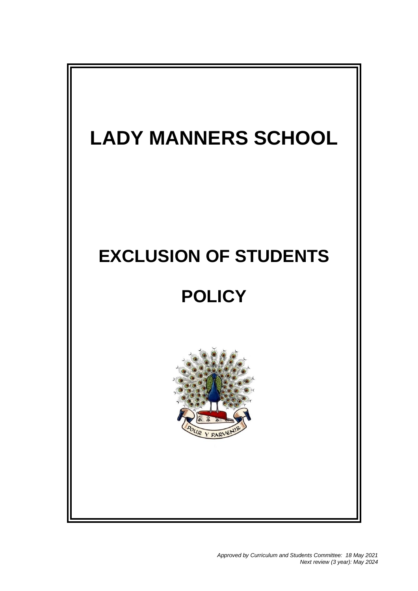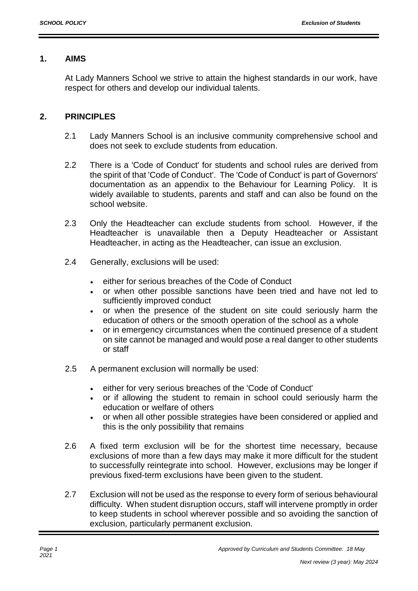### **1. AIMS**

At Lady Manners School we strive to attain the highest standards in our work, have respect for others and develop our individual talents.

# **2. PRINCIPLES**

- 2.1 Lady Manners School is an inclusive community comprehensive school and does not seek to exclude students from education.
- 2.2 There is a 'Code of Conduct' for students and school rules are derived from the spirit of that 'Code of Conduct'. The 'Code of Conduct' is part of Governors' documentation as an appendix to the Behaviour for Learning Policy. It is widely available to students, parents and staff and can also be found on the school website.
- 2.3 Only the Headteacher can exclude students from school. However, if the Headteacher is unavailable then a Deputy Headteacher or Assistant Headteacher, in acting as the Headteacher, can issue an exclusion.
- 2.4 Generally, exclusions will be used:
	- either for serious breaches of the Code of Conduct
	- or when other possible sanctions have been tried and have not led to sufficiently improved conduct
	- or when the presence of the student on site could seriously harm the education of others or the smooth operation of the school as a whole
	- or in emergency circumstances when the continued presence of a student on site cannot be managed and would pose a real danger to other students or staff
- 2.5 A permanent exclusion will normally be used:
	- either for very serious breaches of the 'Code of Conduct'
	- or if allowing the student to remain in school could seriously harm the education or welfare of others
	- or when all other possible strategies have been considered or applied and this is the only possibility that remains
- 2.6 A fixed term exclusion will be for the shortest time necessary, because exclusions of more than a few days may make it more difficult for the student to successfully reintegrate into school. However, exclusions may be longer if previous fixed-term exclusions have been given to the student.
- 2.7 Exclusion will not be used as the response to every form of serious behavioural difficulty. When student disruption occurs, staff will intervene promptly in order to keep students in school wherever possible and so avoiding the sanction of exclusion, particularly permanent exclusion.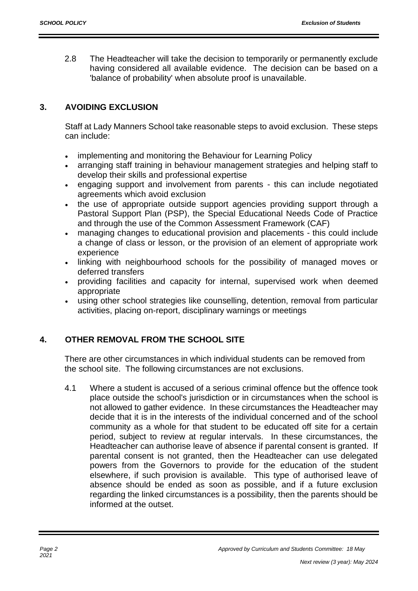2.8 The Headteacher will take the decision to temporarily or permanently exclude having considered all available evidence. The decision can be based on a 'balance of probability' when absolute proof is unavailable.

### **3. AVOIDING EXCLUSION**

Staff at Lady Manners School take reasonable steps to avoid exclusion. These steps can include:

- implementing and monitoring the Behaviour for Learning Policy
- arranging staff training in behaviour management strategies and helping staff to develop their skills and professional expertise
- engaging support and involvement from parents this can include negotiated agreements which avoid exclusion
- the use of appropriate outside support agencies providing support through a Pastoral Support Plan (PSP), the Special Educational Needs Code of Practice and through the use of the Common Assessment Framework (CAF)
- managing changes to educational provision and placements this could include a change of class or lesson, or the provision of an element of appropriate work experience
- linking with neighbourhood schools for the possibility of managed moves or deferred transfers
- providing facilities and capacity for internal, supervised work when deemed appropriate
- using other school strategies like counselling, detention, removal from particular activities, placing on-report, disciplinary warnings or meetings

# **4. OTHER REMOVAL FROM THE SCHOOL SITE**

There are other circumstances in which individual students can be removed from the school site. The following circumstances are not exclusions.

4.1 Where a student is accused of a serious criminal offence but the offence took place outside the school's jurisdiction or in circumstances when the school is not allowed to gather evidence. In these circumstances the Headteacher may decide that it is in the interests of the individual concerned and of the school community as a whole for that student to be educated off site for a certain period, subject to review at regular intervals. In these circumstances, the Headteacher can authorise leave of absence if parental consent is granted. If parental consent is not granted, then the Headteacher can use delegated powers from the Governors to provide for the education of the student elsewhere, if such provision is available. This type of authorised leave of absence should be ended as soon as possible, and if a future exclusion regarding the linked circumstances is a possibility, then the parents should be informed at the outset.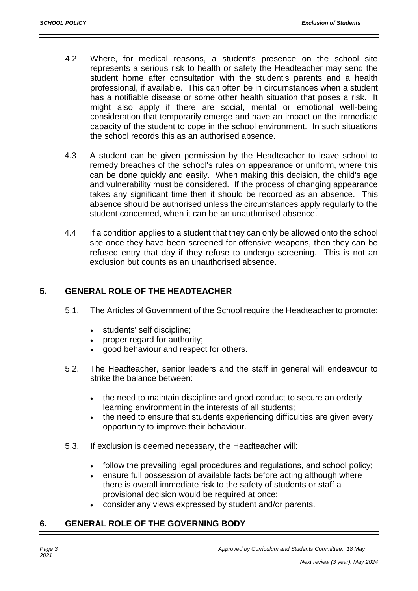- 4.2 Where, for medical reasons, a student's presence on the school site represents a serious risk to health or safety the Headteacher may send the student home after consultation with the student's parents and a health professional, if available. This can often be in circumstances when a student has a notifiable disease or some other health situation that poses a risk. It might also apply if there are social, mental or emotional well-being consideration that temporarily emerge and have an impact on the immediate capacity of the student to cope in the school environment. In such situations the school records this as an authorised absence.
- 4.3 A student can be given permission by the Headteacher to leave school to remedy breaches of the school's rules on appearance or uniform, where this can be done quickly and easily. When making this decision, the child's age and vulnerability must be considered. If the process of changing appearance takes any significant time then it should be recorded as an absence. This absence should be authorised unless the circumstances apply regularly to the student concerned, when it can be an unauthorised absence.
- 4.4 If a condition applies to a student that they can only be allowed onto the school site once they have been screened for offensive weapons, then they can be refused entry that day if they refuse to undergo screening. This is not an exclusion but counts as an unauthorised absence.

#### **5. GENERAL ROLE OF THE HEADTEACHER**

- 5.1. The Articles of Government of the School require the Headteacher to promote:
	- students' self discipline;
	- proper regard for authority;
	- good behaviour and respect for others.
- 5.2. The Headteacher, senior leaders and the staff in general will endeavour to strike the balance between:
	- the need to maintain discipline and good conduct to secure an orderly learning environment in the interests of all students;
	- the need to ensure that students experiencing difficulties are given every opportunity to improve their behaviour.
- 5.3. If exclusion is deemed necessary, the Headteacher will:
	- follow the prevailing legal procedures and regulations, and school policy;
	- ensure full possession of available facts before acting although where there is overall immediate risk to the safety of students or staff a provisional decision would be required at once;
	- consider any views expressed by student and/or parents.

# **6. GENERAL ROLE OF THE GOVERNING BODY**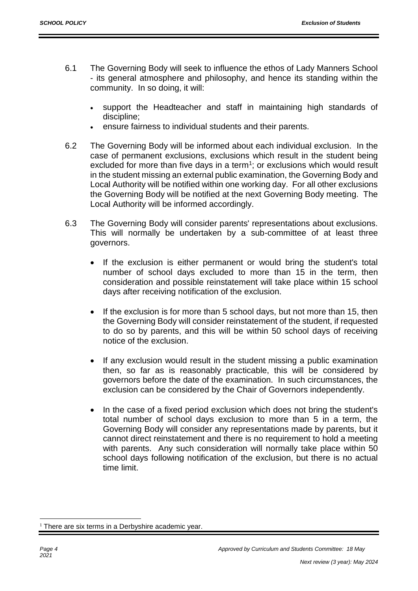- 6.1 The Governing Body will seek to influence the ethos of Lady Manners School - its general atmosphere and philosophy, and hence its standing within the community. In so doing, it will:
	- support the Headteacher and staff in maintaining high standards of discipline;
	- ensure fairness to individual students and their parents.
- 6.2 The Governing Body will be informed about each individual exclusion. In the case of permanent exclusions, exclusions which result in the student being excluded for more than five days in a term<sup>1</sup>; or exclusions which would result in the student missing an external public examination, the Governing Body and Local Authority will be notified within one working day. For all other exclusions the Governing Body will be notified at the next Governing Body meeting. The Local Authority will be informed accordingly.
- 6.3 The Governing Body will consider parents' representations about exclusions. This will normally be undertaken by a sub-committee of at least three governors.
	- If the exclusion is either permanent or would bring the student's total number of school days excluded to more than 15 in the term, then consideration and possible reinstatement will take place within 15 school days after receiving notification of the exclusion.
	- If the exclusion is for more than 5 school days, but not more than 15, then the Governing Body will consider reinstatement of the student, if requested to do so by parents, and this will be within 50 school days of receiving notice of the exclusion.
	- If any exclusion would result in the student missing a public examination then, so far as is reasonably practicable, this will be considered by governors before the date of the examination. In such circumstances, the exclusion can be considered by the Chair of Governors independently.
	- In the case of a fixed period exclusion which does not bring the student's total number of school days exclusion to more than 5 in a term, the Governing Body will consider any representations made by parents, but it cannot direct reinstatement and there is no requirement to hold a meeting with parents. Any such consideration will normally take place within 50 school days following notification of the exclusion, but there is no actual time limit.

<sup>1</sup>  $1$  There are six terms in a Derbyshire academic year.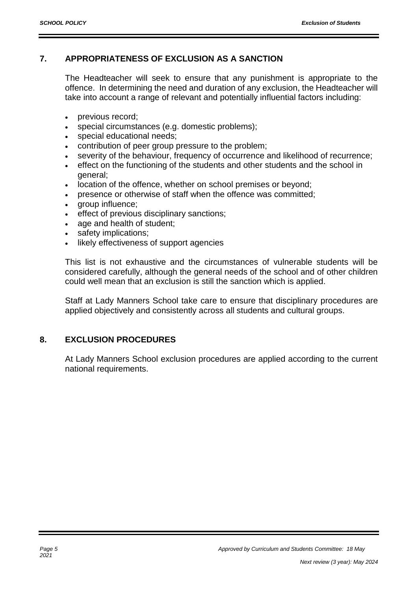#### **7. APPROPRIATENESS OF EXCLUSION AS A SANCTION**

The Headteacher will seek to ensure that any punishment is appropriate to the offence. In determining the need and duration of any exclusion, the Headteacher will take into account a range of relevant and potentially influential factors including:

- previous record;
- special circumstances (e.g. domestic problems);
- special educational needs;
- contribution of peer group pressure to the problem;
- severity of the behaviour, frequency of occurrence and likelihood of recurrence;
- effect on the functioning of the students and other students and the school in general;
- location of the offence, whether on school premises or beyond;
- presence or otherwise of staff when the offence was committed;
- group influence;
- effect of previous disciplinary sanctions;
- age and health of student;
- safety implications;
- likely effectiveness of support agencies

This list is not exhaustive and the circumstances of vulnerable students will be considered carefully, although the general needs of the school and of other children could well mean that an exclusion is still the sanction which is applied.

Staff at Lady Manners School take care to ensure that disciplinary procedures are applied objectively and consistently across all students and cultural groups.

#### **8. EXCLUSION PROCEDURES**

At Lady Manners School exclusion procedures are applied according to the current national requirements.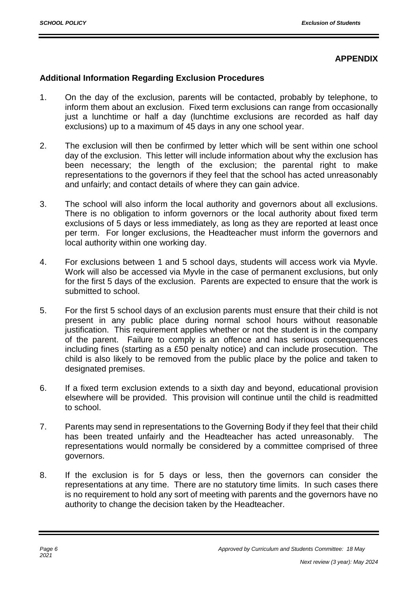#### **APPENDIX**

#### **Additional Information Regarding Exclusion Procedures**

- 1. On the day of the exclusion, parents will be contacted, probably by telephone, to inform them about an exclusion. Fixed term exclusions can range from occasionally just a lunchtime or half a day (lunchtime exclusions are recorded as half day exclusions) up to a maximum of 45 days in any one school year.
- 2. The exclusion will then be confirmed by letter which will be sent within one school day of the exclusion. This letter will include information about why the exclusion has been necessary; the length of the exclusion; the parental right to make representations to the governors if they feel that the school has acted unreasonably and unfairly; and contact details of where they can gain advice.
- 3. The school will also inform the local authority and governors about all exclusions. There is no obligation to inform governors or the local authority about fixed term exclusions of 5 days or less immediately, as long as they are reported at least once per term. For longer exclusions, the Headteacher must inform the governors and local authority within one working day.
- 4. For exclusions between 1 and 5 school days, students will access work via Myvle. Work will also be accessed via Myvle in the case of permanent exclusions, but only for the first 5 days of the exclusion. Parents are expected to ensure that the work is submitted to school.
- 5. For the first 5 school days of an exclusion parents must ensure that their child is not present in any public place during normal school hours without reasonable justification. This requirement applies whether or not the student is in the company of the parent. Failure to comply is an offence and has serious consequences including fines (starting as a £50 penalty notice) and can include prosecution. The child is also likely to be removed from the public place by the police and taken to designated premises.
- 6. If a fixed term exclusion extends to a sixth day and beyond, educational provision elsewhere will be provided. This provision will continue until the child is readmitted to school.
- 7. Parents may send in representations to the Governing Body if they feel that their child has been treated unfairly and the Headteacher has acted unreasonably. The representations would normally be considered by a committee comprised of three governors.
- 8. If the exclusion is for 5 days or less, then the governors can consider the representations at any time. There are no statutory time limits. In such cases there is no requirement to hold any sort of meeting with parents and the governors have no authority to change the decision taken by the Headteacher.